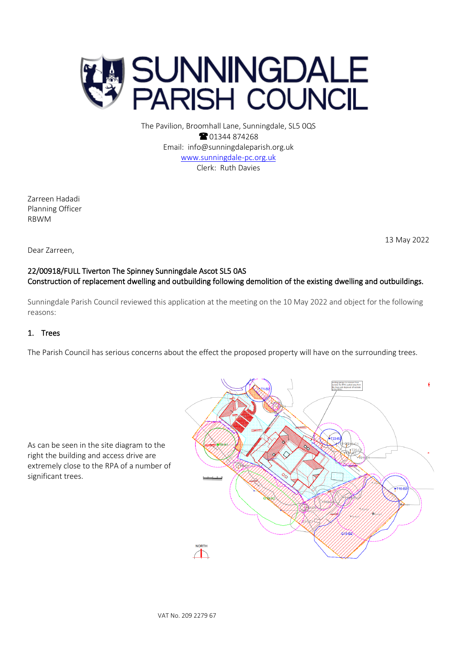

The Pavilion, Broomhall Lane, Sunningdale, SL5 0QS <sup>2</sup>01344 874268 Email: info@sunningdaleparish.org.uk [www.sunningdale-pc.org.uk](http://www.sunningdale-pc.org.uk/) Clerk: Ruth Davies

Zarreen Hadadi Planning Officer RBWM

13 May 2022

#### Dear Zarreen,

# 22/00918/FULL Tiverton The Spinney Sunningdale Ascot SL5 0AS Construction of replacement dwelling and outbuilding following demolition of the existing dwelling and outbuildings.

Sunningdale Parish Council reviewed this application at the meeting on the 10 May 2022 and object for the following reasons:

### 1. Trees

The Parish Council has serious concerns about the effect the proposed property will have on the surrounding trees.

As can be seen in the site diagram to the right the building and access drive are extremely close to the RPA of a number of significant trees.